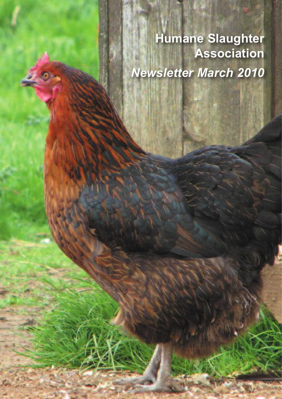**Humane Slaughter Association** *Newsletter March 2010*

O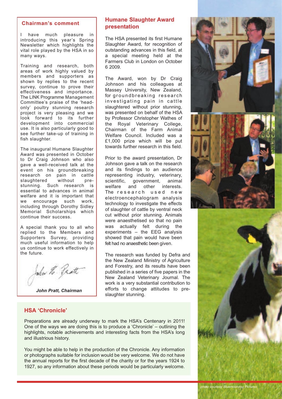### **Chairman's comment**

I have much pleasure in introducing this year's Spring Newsletter which highlights the vital role played by the HSA in so many ways.

Training and research, both areas of work highly valued by members and supporters as shown by replies to the recent survey, continue to prove their effectiveness and importance. The LINK Programme Management Committee's praise of the 'headonly' poultry stunning research project is very pleasing and we look forward to its further development into commercial use. It is also particularly good to see further take-up of training in fish slaughter.

The inaugural Humane Slaughter Award was presented in October to Dr Craig Johnson who also gave a well-received talk at the event on his groundbreaking research on pain in cattle slaughtered without prestunning. Such research is essential to advances in animal welfare and it is important that we encourage such work, including through Dorothy Sidley Memorial Scholarships which continue their success.

A special thank you to all who replied to the Members and Supporters Survey, providing much useful information to help us continue to work effectively in the future.

John H. Pratt

*John Pratt, Chairman*

## **Humane Slaughter Award presentation**

The HSA presented its first Humane Slaughter Award, for recognition of outstanding advances in this field, at a special meeting held at the Farmers Club in London on October 6 2009.

The Award, won by Dr Craig Johnson and his colleagues at Massey University, New Zealand, for groundbreaking research investigating pain in cattle slaughtered without prior stunning, was presented on behalf of the HSA by Professor Christopher Wathes of the Royal Veterinary College, Chairman of the Farm Animal Welfare Council. Included was a £1,000 prize which will be put towards further research in this field.

Prior to the award presentation, Dr Johnson gave a talk on the research and its findings to an audience representing industry, veterinary, scientific, government, animal welfare and other interests. The research used new electroencephalogram analysis technology to investigate the effects of slaughter of cattle by ventral neck cut without prior stunning. Animals were anaesthetised so that no pain was actually felt during the experiments – the EEG analysis showed that pain would have been felt had no anaesthetic been given.

The research was funded by Defra and the New Zealand Ministry of Agriculture and Forestry, and its results have been published in a series of five papers in the New Zealand Veterinary Journal. The work is a very substantial contribution to efforts to change attitudes to preslaughter stunning.

## **HSA 'Chronicle'**

Preparations are already underway to mark the HSA's Centenary in 2011! One of the ways we are doing this is to produce a 'Chronicle' – outlining the highlights, notable achievements and interesting facts from the HSA's long and illustrious history.

You might be able to help in the production of the Chronicle. Any information or photographs suitable for inclusion would be very welcome. We do not have the annual reports for the first decade of the charity or for the years 1924 to 1927, so any information about these periods would be particularly welcome.

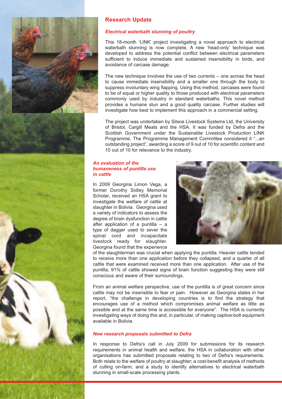

# **Research Update**

### *Electrical waterbath stunning of poultry*

This 18-month 'LINK' project investigating a novel approach to electrical waterbath stunning is now complete. A new 'head-only' technique was developed to address the potential conflict between electrical parameters sufficient to induce immediate and sustained insensibility in birds, and avoidance of carcase damage.

The new technique involves the use of two currents – one across the head to cause immediate insensibility and a smaller one through the body to suppress involuntary wing flapping. Using this method, carcases were found to be of equal or higher quality to those produced with electrical parameters commonly used by industry in standard waterbaths. This novel method provides a humane stun and a good quality carcase. Further studies will investigate how best to implement this approach in a commercial setting.

The project was undertaken by Silsoe Livestock Systems Ltd, the University of Bristol, Cargill Meats and the HSA. It was funded by Defra and the Scottish Government under the Sustainable Livestock Production LINK Programme. The Programme Management Committee considered it "...an outstanding project", awarding a score of 9 out of 10 for scientific content and 10 out of 10 for relevance to the industry.

### *An evaluation of the humaneness of puntilla use in cattle*

In 2009 Georgina Limon Vega, a former Dorothy Sidley Memorial Scholar, received an HSA grant to investigate the welfare of cattle at slaughter in Bolivia. Georgina used a variety of indicators to assess the degree of brain dysfunction in cattle after application of a puntilla – a type of dagger used to sever the spinal cord and incapacitate livestock ready for slaughter. Georgina found that the experience



of the slaughterman was crucial when applying the puntilla. Heavier cattle tended to receive more than one application before they collapsed, and a quarter of all cattle that were examined received more than one application. After use of the puntilla, 91% of cattle showed signs of brain function suggesting they were still conscious and aware of their surroundings.

From an animal welfare perspective, use of the puntilla is of great concern since cattle may not be insensible to fear or pain. However as Georgina states in her report, "the challenge in developing countries is to find the strategy that encourages use of a method which compromises animal welfare as little as possible and at the same time is accessible for everyone". The HSA is currently investigating ways of doing this and, in particular, of making captive-bolt equipment available in Bolivia.

### *New research proposals submitted to Defra*

In response to Defra's call in July 2009 for submissions for its research requirements in animal health and welfare, the HSA in collaboration with other organisations has submitted proposals relating to two of Defra's requirements. Both relate to the welfare of poultry at slaughter; a cost-benefit analysis of methods of culling on-farm; and a study to identify alternatives to electrical waterbath stunning in small-scale processing plants.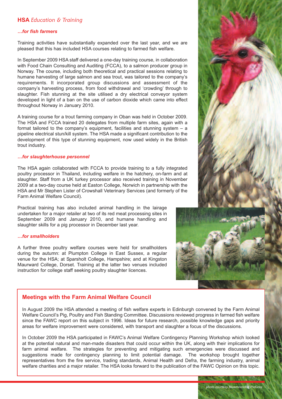## **HSA** *Education & Training*

#### *…for fish farmers*

Training activities have substantially expanded over the last year, and we are pleased that this has included HSA courses relating to farmed fish welfare.

In September 2009 HSA staff delivered a one-day training course, in collaboration with Food Chain Consulting and Auditing (FCCA), to a salmon producer group in Norway. The course, including both theoretical and practical sessions relating to humane harvesting of large salmon and sea trout, was tailored to the company's requirements. It incorporated group discussions and assessment of the company's harvesting process, from food withdrawal and 'crowding' through to slaughter. Fish stunning at the site utilised a dry electrical conveyor system developed in light of a ban on the use of carbon dioxide which came into effect throughout Norway in January 2010.

A training course for a trout farming company in Oban was held in October 2009. The HSA and FCCA trained 20 delegates from multiple farm sites, again with a format tailored to the company's equipment, facilities and stunning system – a pipeline electrical stun/kill system. The HSA made a significant contribution to the development of this type of stunning equipment, now used widely in the British trout industry.

#### *…for slaughterhouse personnel*

The HSA again collaborated with FCCA to provide training to a fully integrated poultry processor in Thailand, including welfare in the hatchery, on-farm and at slaughter. Staff from a UK turkey processor also received training in November 2009 at a two-day course held at Easton College, Norwich in partnership with the HSA and Mr Stephen Lister of Crowshall Veterinary Services (and formerly of the Farm Animal Welfare Council).

Practical training has also included animal handling in the lairage undertaken for a major retailer at two of its red meat processing sites in September 2009 and January 2010, and humane handling and slaughter skills for a pig processor in December last year.

### *…for smallholders*

A further three poultry welfare courses were held for smallholders during the autumn: at Plumpton College in East Sussex, a regular venue for the HSA; at Sparsholt College, Hampshire; and at Kingston Maurward College, Dorset. Training at the latter two venues included instruction for college staff seeking poultry slaughter licences.



## **Meetings with the Farm Animal Welfare Council**

In August 2009 the HSA attended a meeting of fish welfare experts in Edinburgh convened by the Farm Animal Welfare Council's Pig, Poultry and Fish Standing Committee. Discussions reviewed progress in farmed fish welfare since the FAWC report on this subject in 1996. Ideas for future research, possible knowledge gaps and priority areas for welfare improvement were considered, with transport and slaughter a focus of the discussions.

In October 2009 the HSA participated in FAWC's Animal Welfare Contingency Planning Workshop which looked at the potential natural and man-made disasters that could occur within the UK, along with their implications for farm animal welfare. The strategies for preventing and mitigating such emergencies were discussed and suggestions made for contingency planning to limit potential damage. The workshop brought together suggestions made for contingency planning to limit potential damage. representatives from the fire service, trading standards, Animal Health and Defra, the farming industry, animal welfare charities and a major retailer. The HSA looks forward to the publication of the FAWC Opinion on this topic.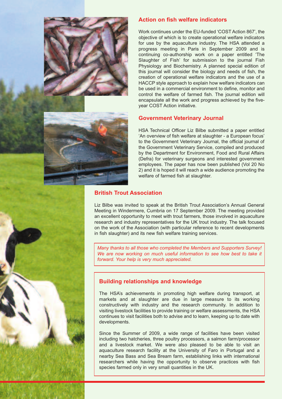



## **Action on fish welfare indicators**

Work continues under the EU-funded 'COST Action 867', the objective of which is to create operational welfare indicators for use by the aquaculture industry. The HSA attended a progress meeting in Paris in September 2009 and is continuing co-authorship work on a paper entitled 'The Slaughter of Fish' for submission to the journal Fish Physiology and Biochemistry. A planned special edition of this journal will consider the biology and needs of fish, the creation of operational welfare indicators and the use of a HACCP style approach to explain how welfare indicators can be used in a commercial environment to define, monitor and control the welfare of farmed fish. The journal edition will encapsulate all the work and progress achieved by the fiveyear COST Action initiative.

## **Government Veterinary Journal**

HSA Technical Officer Liz Bilbe submitted a paper entitled 'An overview of fish welfare at slaughter - a European focus' to the Government Veterinary Journal, the official journal of the Government Veterinary Service, compiled and produced by the Department for Environment, Food and Rural Affairs (Defra) for veterinary surgeons and interested government employees. The paper has now been published (Vol 20 No 2) and it is hoped it will reach a wide audience promoting the welfare of farmed fish at slaughter.

## **British Trout Association**

Liz Bilbe was invited to speak at the British Trout Association's Annual General Meeting in Windermere, Cumbria on 17 September 2009. The meeting provided an excellent opportunity to meet with trout farmers, those involved in aquaculture research and industry representatives for the UK trout industry. The talk focused on the work of the Association (with particular reference to recent developments in fish slaughter) and its new fish welfare training services.

*Many thanks to all those who completed the Members and Supporters Survey! We are now working on much useful information to see how best to take it forward. Your help is very much appreciated.*

## **Building relationships and knowledge**

The HSA's achievements in promoting high welfare during transport, at markets and at slaughter are due in large measure to its working constructively with industry and the research community. In addition to visiting livestock facilities to provide training or welfare assessments, the HSA continues to visit facilities both to advise and to learn, keeping up to date with developments.

Since the Summer of 2009, a wide range of facilities have been visited including two hatcheries, three poultry processors, a salmon farm/processor and a livestock market. We were also pleased to be able to visit an aquaculture research facility at the University of Faro in Portugal and a nearby Sea Bass and Sea Bream farm, establishing links with international researchers while having the opportunity to observe practices with fish species farmed only in very small quantities in the UK.